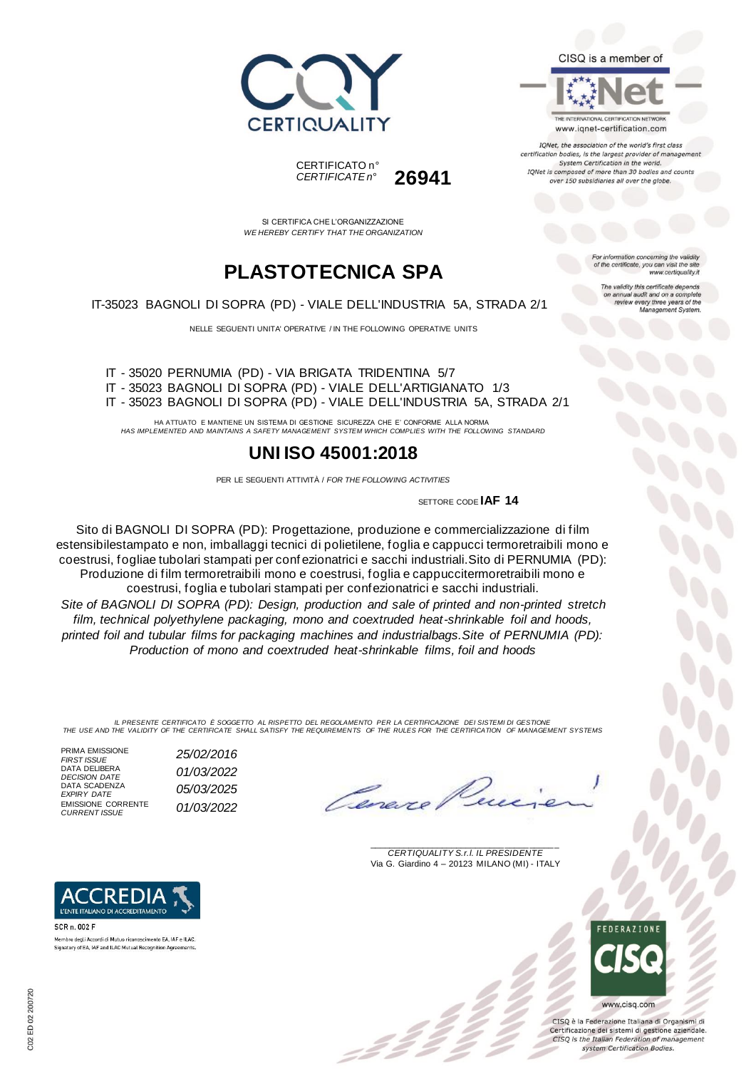



THE INTERNATIONAL CERTIFICATION NETWORK www.iqnet-certification.com

TONet, the association of the world's first class certification bodies, is the largest provider of managen System Certification in the world. IQNet is composed of more than 30 bodies and counts over 150 subsidiaries all over the globe.

> ion concerning the validity of the certificate, you can visit the sit

The validity this certificate depends on annual audit and on a complete<br>review every three years of the<br>Management System.

www.certiquality.it

CERTIFICATO n° *CERTIFICATE n°* **26941**

SI CERTIFICA CHE L'ORGANIZZAZIONE *WE HEREBY CERTIFY THAT THE ORGANIZATION*

## **PLASTOTECNICA SPA**

IT-35023 BAGNOLI DI SOPRA (PD) - VIALE DELL'INDUSTRIA 5A, STRADA 2/1

NELLE SEGUENTI UNITA' OPERATIVE / IN THE FOLLOWING OPERATIVE UNITS

IT - 35020 PERNUMIA (PD) - VIA BRIGATA TRIDENTINA 5/7 IT - 35023 BAGNOLI DI SOPRA (PD) - VIALE DELL'ARTIGIANATO 1/3 IT - 35023 BAGNOLI DI SOPRA (PD) - VIALE DELL'INDUSTRIA 5A, STRADA 2/1

HA ATTUATO E MANTIENE UN SISTEMA DI GESTIONE SICUREZZA CHE E' CONFORME ALLA NORMA *HAS IMPLEMENTED AND MAINTAINS A SAFETY MANAGEMENT SYSTEM WHICH COMPLIES WITH THE FOLLOWING STANDARD*

### **UNI ISO 45001:2018**

PER LE SEGUENTI ATTIVITÀ / *FOR THE FOLLOWING ACTIVITIES*

SETTORE CODE **IAF 14**

Sito di BAGNOLI DI SOPRA (PD): Progettazione, produzione e commercializzazione di film estensibilestampato e non, imballaggi tecnici di polietilene, foglia e cappucci termoretraibili mono e coestrusi, fogliae tubolari stampati per conf ezionatrici e sacchi industriali.Sito di PERNUMIA (PD): Produzione di film termoretraibili mono e coestrusi, foglia e cappuccitermoretraibili mono e coestrusi, foglia e tubolari stampati per confezionatrici e sacchi industriali. *Site of BAGNOLI DI SOPRA (PD): Design, production and sale of printed and non-printed stretch film, technical polyethylene packaging, mono and coextruded heat-shrinkable foil and hoods, printed foil and tubular films for packaging machines and industrialbags.Site of PERNUMIA (PD): Production of mono and coextruded heat-shrinkable films, foil and hoods*

IL PRESENTE CERTIFICATO E SOGGETTO AL RISPETTO DEL REGOLAMENTO PER LA CERTIFICAZIONE DEI SISTEMI DI GESTIONE<br>THE USE AND THE VALIDITY OF THE CERTIFICATE SHALL SATISFY THE REQUIREMENTS OF THE RULES FOR THE CERTIFICATION OF

PRIMA EMISSIONE *FIRST ISSUE 25/02/2016* DATA DELIBERA *DECISION DATE 01/03/2022* DATA SCADENZA<br>EXPIRY DATE EMISSIONE CORRENTE *CURRENT ISSUE 01/03/2022*

L'ENTE ITALIANO DI ACCREDITAMENTO

Membro degli Accordi di Mutuo riconoscimento EA, IAF e ILAC. Signatory of EA, IAF and ILAC Mutual Recognition Ag

SCR n. 002 F

*EXPIRY DATE 05/03/2025*

\_\_\_\_\_\_\_\_\_\_\_\_\_\_\_\_\_\_\_\_\_\_\_\_\_\_\_\_\_\_\_\_\_\_\_\_\_\_\_ *CERTIQUALITY S.r.l. IL PRESIDENTE* Via G. Giardino 4 – 20123 MILANO (MI) - ITALY



CISO è la Federazione Italiana di Organismi di Certificazione dei sistemi di gestione aziendale. CISQ is the Italian Federation of management system Certification Bodies.